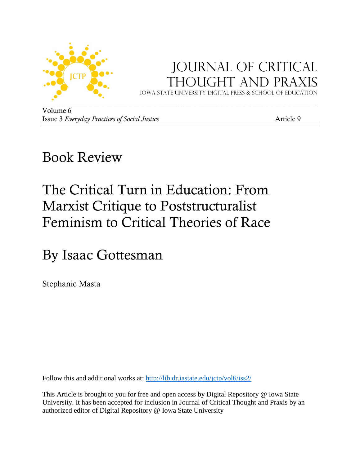

## Journal of critical Thought and Praxis

Iowa state university digital press & School of education

Volume 6 Issue 3 *Everyday Practices of Social Justice* Article 9

## Book Review

# The Critical Turn in Education: From Marxist Critique to Poststructuralist Feminism to Critical Theories of Race

By Isaac Gottesman

Stephanie Masta

Follow this and additional works at:<http://lib.dr.iastate.edu/jctp/vol6/iss2/>

This Article is brought to you for free and open access by Digital Repository @ Iowa State University. It has been accepted for inclusion in Journal of Critical Thought and Praxis by an authorized editor of Digital Repository @ Iowa State University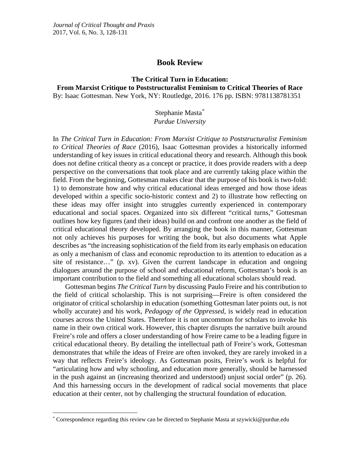## **Book Review**

### **The Critical Turn in Education: From Marxist Critique to Poststructuralist Feminism to Critical Theories of Race** By: Isaac Gottesman. New York, NY: Routledge, 2016. 176 pp. ISBN: 9781138781351

### Stephanie Masta[\\*](#page-1-0) *Purdue University*

In *The Critical Turn in Education: From Marxist Critique to Poststructuralist Feminism to Critical Theories of Race* (2016), Isaac Gottesman provides a historically informed understanding of key issues in critical educational theory and research. Although this book does not define critical theory as a concept or practice, it does provide readers with a deep perspective on the conversations that took place and are currently taking place within the field. From the beginning, Gottesman makes clear that the purpose of his book is two-fold: 1) to demonstrate how and why critical educational ideas emerged and how those ideas developed within a specific socio-historic context and 2) to illustrate how reflecting on these ideas may offer insight into struggles currently experienced in contemporary educational and social spaces. Organized into six different "critical turns," Gottesman outlines how key figures (and their ideas) build on and confront one another as the field of critical educational theory developed. By arranging the book in this manner, Gottesman not only achieves his purposes for writing the book, but also documents what Apple describes as "the increasing sophistication of the field from its early emphasis on education as only a mechanism of class and economic reproduction to its attention to education as a site of resistance…" (p. xv). Given the current landscape in education and ongoing dialogues around the purpose of school and educational reform, Gottesman's book is an important contribution to the field and something all educational scholars should read.

Gottesman begins *The Critical Turn* by discussing Paulo Freire and his contribution to the field of critical scholarship. This is not surprising—Freire is often considered the originator of critical scholarship in education (something Gottesman later points out, is not wholly accurate) and his work, *Pedagogy of the Oppressed*, is widely read in education courses across the United States. Therefore it is not uncommon for scholars to invoke his name in their own critical work. However, this chapter disrupts the narrative built around Freire's role and offers a closer understanding of how Freire came to be a leading figure in critical educational theory. By detailing the intellectual path of Freire's work, Gottesman demonstrates that while the ideas of Freire are often invoked, they are rarely invoked in a way that reflects Freire's ideology. As Gottesman posits, Freire's work is helpful for "articulating how and why schooling, and education more generally, should be harnessed in the push against an (increasing theorized and understood) unjust social order" (p. 26). And this harnessing occurs in the development of radical social movements that place education at their center, not by challenging the structural foundation of education.

l

<span id="page-1-0"></span><sup>\*</sup> Correspondence regarding this review can be directed to Stephanie Masta at szywicki@purdue.edu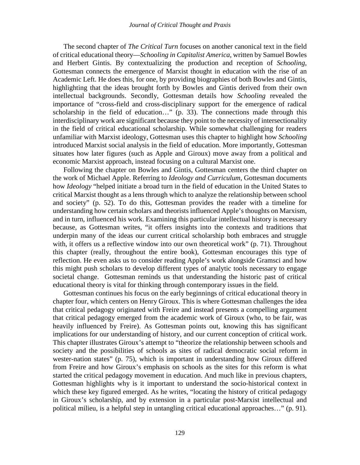The second chapter of *The Critical Turn* focuses on another canonical text in the field of critical educational theory—*Schooling in Capitalist America*, written by Samuel Bowles and Herbert Gintis. By contextualizing the production and reception of *Schooling,* Gottesman connects the emergence of Marxist thought in education with the rise of an Academic Left. He does this, for one, by providing biographies of both Bowles and Gintis, highlighting that the ideas brought forth by Bowles and Gintis derived from their own intellectual backgrounds. Secondly, Gottesman details how *Schooling* revealed the importance of "cross-field and cross-disciplinary support for the emergence of radical scholarship in the field of education…" (p. 33). The connections made through this interdisciplinary work are significant because they point to the necessity of intersectionality in the field of critical educational scholarship. While somewhat challenging for readers unfamiliar with Marxist ideology, Gottesman uses this chapter to highlight how *Schooling* introduced Marxist social analysis in the field of education. More importantly, Gottesman situates how later figures (such as Apple and Giroux) move away from a political and economic Marxist approach, instead focusing on a cultural Marxist one.

Following the chapter on Bowles and Gintis, Gottesman centers the third chapter on the work of Michael Apple. Referring to *Ideology and Curriculum*, Gottesman documents how *Ideology* "helped initiate a broad turn in the field of education in the United States to critical Marxist thought as a lens through which to analyze the relationship between school and society" (p. 52). To do this, Gottesman provides the reader with a timeline for understanding how certain scholars and theorists influenced Apple's thoughts on Marxism, and in turn, influenced his work. Examining this particular intellectual history is necessary because, as Gottesman writes, "it offers insights into the contexts and traditions that underpin many of the ideas our current critical scholarship both embraces and struggle with, it offers us a reflective window into our own theoretical work" (p. 71). Throughout this chapter (really, throughout the entire book), Gottesman encourages this type of reflection. He even asks us to consider reading Apple's work alongside Gramsci and how this might push scholars to develop different types of analytic tools necessary to engage societal change. Gottesman reminds us that understanding the historic past of critical educational theory is vital for thinking through contemporary issues in the field.

Gottesman continues his focus on the early beginnings of critical educational theory in chapter four, which centers on Henry Giroux. This is where Gottesman challenges the idea that critical pedagogy originated with Freire and instead presents a compelling argument that critical pedagogy emerged from the academic work of Giroux (who, to be fair, was heavily influenced by Freire). As Gottesman points out, knowing this has significant implications for our understanding of history, and our current conception of critical work. This chapter illustrates Giroux's attempt to "theorize the relationship between schools and society and the possibilities of schools as sites of radical democratic social reform in wester-nation states" (p. 75), which is important in understanding how Giroux differed from Freire and how Giroux's emphasis on schools as the sites for this reform is what started the critical pedagogy movement in education. And much like in previous chapters, Gottesman highlights why is it important to understand the socio-historical context in which these key figured emerged. As he writes, "locating the history of critical pedagogy in Giroux's scholarship, and by extension in a particular post-Marxist intellectual and political milieu, is a helpful step in untangling critical educational approaches…" (p. 91).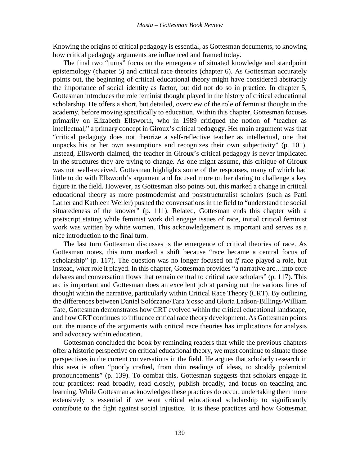Knowing the origins of critical pedagogy is essential, as Gottesman documents, to knowing how critical pedagogy arguments are influenced and framed today.

The final two "turns" focus on the emergence of situated knowledge and standpoint epistemology (chapter 5) and critical race theories (chapter 6). As Gottesman accurately points out, the beginning of critical educational theory might have considered abstractly the importance of social identity as factor, but did not do so in practice. In chapter 5, Gottesman introduces the role feminist thought played in the history of critical educational scholarship. He offers a short, but detailed, overview of the role of feminist thought in the academy, before moving specifically to education. Within this chapter, Gottesman focuses primarily on Elizabeth Ellsworth, who in 1989 critiqued the notion of "teacher as intellectual," a primary concept in Giroux's critical pedagogy. Her main argument was that "critical pedagogy does not theorize a self-reflective teacher as intellectual, one that unpacks his or her own assumptions and recognizes their own subjectivity" (p. 101). Instead, Ellsworth claimed, the teacher in Giroux's critical pedagogy is never implicated in the structures they are trying to change. As one might assume, this critique of Giroux was not well-received. Gottesman highlights some of the responses, many of which had little to do with Ellsworth's argument and focused more on her daring to challenge a key figure in the field. However, as Gottesman also points out, this marked a change in critical educational theory as more postmodernist and poststructuralist scholars (such as Patti Lather and Kathleen Weiler) pushed the conversations in the field to "understand the social situatedeness of the knower" (p. 111). Related, Gottesman ends this chapter with a postscript stating while feminist work did engage issues of race, initial critical feminist work was written by white women. This acknowledgement is important and serves as a nice introduction to the final turn.

The last turn Gottesman discusses is the emergence of critical theories of race. As Gottesman notes, this turn marked a shift because "race became a central focus of scholarship" (p. 117). The question was no longer focused on *if* race played a role, but instead, *what* role it played. In this chapter, Gottesman provides "a narrative arc…into core debates and conversation flows that remain central to critical race scholars" (p. 117). This arc is important and Gottesman does an excellent job at parsing out the various lines of thought within the narrative, particularly within Critical Race Theory (CRT). By outlining the differences between Daniel Solórzano/Tara Yosso and Gloria Ladson-Billings/William Tate, Gottesman demonstrates how CRT evolved within the critical educational landscape, and how CRT continues to influence critical race theory development. As Gottesman points out, the nuance of the arguments with critical race theories has implications for analysis and advocacy within education.

Gottesman concluded the book by reminding readers that while the previous chapters offer a historic perspective on critical educational theory, we must continue to situate those perspectives in the current conversations in the field. He argues that scholarly research in this area is often "poorly crafted, from thin readings of ideas, to shoddy polemical pronouncements" (p. 139). To combat this, Gottesman suggests that scholars engage in four practices: read broadly, read closely, publish broadly, and focus on teaching and learning. While Gottesman acknowledges these practices do occur, undertaking them more extensively is essential if we want critical educational scholarship to significantly contribute to the fight against social injustice. It is these practices and how Gottesman